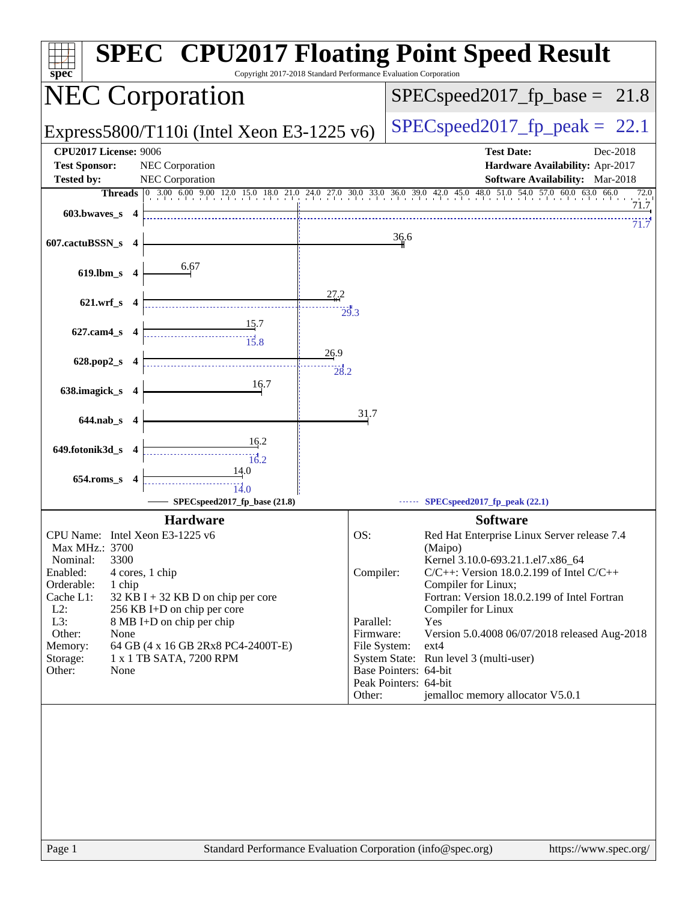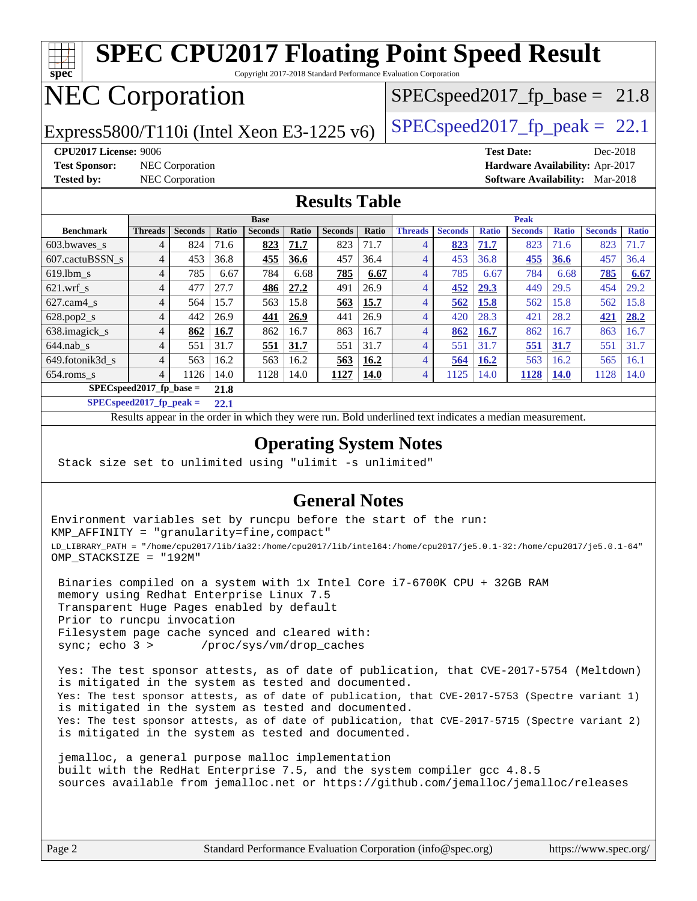#### **[spec](http://www.spec.org/) [SPEC CPU2017 Floating Point Speed Result](http://www.spec.org/auto/cpu2017/Docs/result-fields.html#SPECCPU2017FloatingPointSpeedResult)** Copyright 2017-2018 Standard Performance Evaluation Corporation NEC Corporation Express5800/T110i (Intel Xeon E3-1225 v6) [SPECspeed2017\\_fp\\_peak =](http://www.spec.org/auto/cpu2017/Docs/result-fields.html#SPECspeed2017fppeak) 22.1  $SPECspeed2017_fp\_base = 21.8$ **[CPU2017 License:](http://www.spec.org/auto/cpu2017/Docs/result-fields.html#CPU2017License)** 9006 **[Test Date:](http://www.spec.org/auto/cpu2017/Docs/result-fields.html#TestDate)** Dec-2018 **[Test Sponsor:](http://www.spec.org/auto/cpu2017/Docs/result-fields.html#TestSponsor)** NEC Corporation **[Hardware Availability:](http://www.spec.org/auto/cpu2017/Docs/result-fields.html#HardwareAvailability)** Apr-2017 **[Tested by:](http://www.spec.org/auto/cpu2017/Docs/result-fields.html#Testedby)** NEC Corporation **[Software Availability:](http://www.spec.org/auto/cpu2017/Docs/result-fields.html#SoftwareAvailability)** Mar-2018 **[Results Table](http://www.spec.org/auto/cpu2017/Docs/result-fields.html#ResultsTable) [Benchmark](http://www.spec.org/auto/cpu2017/Docs/result-fields.html#Benchmark) [Threads](http://www.spec.org/auto/cpu2017/Docs/result-fields.html#Threads) [Seconds](http://www.spec.org/auto/cpu2017/Docs/result-fields.html#Seconds) [Ratio](http://www.spec.org/auto/cpu2017/Docs/result-fields.html#Ratio) [Seconds](http://www.spec.org/auto/cpu2017/Docs/result-fields.html#Seconds) [Ratio](http://www.spec.org/auto/cpu2017/Docs/result-fields.html#Ratio) [Seconds](http://www.spec.org/auto/cpu2017/Docs/result-fields.html#Seconds) [Ratio](http://www.spec.org/auto/cpu2017/Docs/result-fields.html#Ratio) Base [Threads](http://www.spec.org/auto/cpu2017/Docs/result-fields.html#Threads) [Seconds](http://www.spec.org/auto/cpu2017/Docs/result-fields.html#Seconds) [Ratio](http://www.spec.org/auto/cpu2017/Docs/result-fields.html#Ratio) [Seconds](http://www.spec.org/auto/cpu2017/Docs/result-fields.html#Seconds) [Ratio](http://www.spec.org/auto/cpu2017/Docs/result-fields.html#Ratio) [Seconds](http://www.spec.org/auto/cpu2017/Docs/result-fields.html#Seconds) [Ratio](http://www.spec.org/auto/cpu2017/Docs/result-fields.html#Ratio) Peak** [603.bwaves\\_s](http://www.spec.org/auto/cpu2017/Docs/benchmarks/603.bwaves_s.html) 4 824 71.6 **[823](http://www.spec.org/auto/cpu2017/Docs/result-fields.html#Median) [71.7](http://www.spec.org/auto/cpu2017/Docs/result-fields.html#Median)** 823 71.7 4 **[823](http://www.spec.org/auto/cpu2017/Docs/result-fields.html#Median) [71.7](http://www.spec.org/auto/cpu2017/Docs/result-fields.html#Median)** 823 71.6 823 71.7 [607.cactuBSSN\\_s](http://www.spec.org/auto/cpu2017/Docs/benchmarks/607.cactuBSSN_s.html) 4 453 36.8 **[455](http://www.spec.org/auto/cpu2017/Docs/result-fields.html#Median) [36.6](http://www.spec.org/auto/cpu2017/Docs/result-fields.html#Median)** 457 36.4 4 453 36.8 **[455](http://www.spec.org/auto/cpu2017/Docs/result-fields.html#Median) [36.6](http://www.spec.org/auto/cpu2017/Docs/result-fields.html#Median)** 457 36.4 [619.lbm\\_s](http://www.spec.org/auto/cpu2017/Docs/benchmarks/619.lbm_s.html) 4 785 6.67 784 6.68 **[785](http://www.spec.org/auto/cpu2017/Docs/result-fields.html#Median) [6.67](http://www.spec.org/auto/cpu2017/Docs/result-fields.html#Median)** 4 785 6.67 784 6.68 **[785](http://www.spec.org/auto/cpu2017/Docs/result-fields.html#Median) [6.67](http://www.spec.org/auto/cpu2017/Docs/result-fields.html#Median)** [621.wrf\\_s](http://www.spec.org/auto/cpu2017/Docs/benchmarks/621.wrf_s.html) 4 477 27.7 **[486](http://www.spec.org/auto/cpu2017/Docs/result-fields.html#Median) [27.2](http://www.spec.org/auto/cpu2017/Docs/result-fields.html#Median)** 491 26.9 4 **[452](http://www.spec.org/auto/cpu2017/Docs/result-fields.html#Median) [29.3](http://www.spec.org/auto/cpu2017/Docs/result-fields.html#Median)** 449 29.5 454 29.2 [627.cam4\\_s](http://www.spec.org/auto/cpu2017/Docs/benchmarks/627.cam4_s.html) 4 564 15.7 563 15.8 **[563](http://www.spec.org/auto/cpu2017/Docs/result-fields.html#Median) [15.7](http://www.spec.org/auto/cpu2017/Docs/result-fields.html#Median)** 4 **[562](http://www.spec.org/auto/cpu2017/Docs/result-fields.html#Median) [15.8](http://www.spec.org/auto/cpu2017/Docs/result-fields.html#Median)** 562 15.8 562 15.8 [628.pop2\\_s](http://www.spec.org/auto/cpu2017/Docs/benchmarks/628.pop2_s.html) 4 442 26.9 **[441](http://www.spec.org/auto/cpu2017/Docs/result-fields.html#Median) [26.9](http://www.spec.org/auto/cpu2017/Docs/result-fields.html#Median)** 441 26.9 4 420 28.3 421 28.2 **[421](http://www.spec.org/auto/cpu2017/Docs/result-fields.html#Median) [28.2](http://www.spec.org/auto/cpu2017/Docs/result-fields.html#Median)** [638.imagick\\_s](http://www.spec.org/auto/cpu2017/Docs/benchmarks/638.imagick_s.html) 4 **[862](http://www.spec.org/auto/cpu2017/Docs/result-fields.html#Median) [16.7](http://www.spec.org/auto/cpu2017/Docs/result-fields.html#Median)** 862 16.7 863 16.7 4 **[862](http://www.spec.org/auto/cpu2017/Docs/result-fields.html#Median) [16.7](http://www.spec.org/auto/cpu2017/Docs/result-fields.html#Median)** 862 16.7 863 16.7 [644.nab\\_s](http://www.spec.org/auto/cpu2017/Docs/benchmarks/644.nab_s.html) 4 551 31.7 **[551](http://www.spec.org/auto/cpu2017/Docs/result-fields.html#Median) [31.7](http://www.spec.org/auto/cpu2017/Docs/result-fields.html#Median)** 551 31.7 4 551 31.7 **[551](http://www.spec.org/auto/cpu2017/Docs/result-fields.html#Median) [31.7](http://www.spec.org/auto/cpu2017/Docs/result-fields.html#Median)** 551 31.7 [649.fotonik3d\\_s](http://www.spec.org/auto/cpu2017/Docs/benchmarks/649.fotonik3d_s.html) 4 563 16.2 563 16.2 **[563](http://www.spec.org/auto/cpu2017/Docs/result-fields.html#Median) [16.2](http://www.spec.org/auto/cpu2017/Docs/result-fields.html#Median)** 4 **[564](http://www.spec.org/auto/cpu2017/Docs/result-fields.html#Median) [16.2](http://www.spec.org/auto/cpu2017/Docs/result-fields.html#Median)** 563 16.2 565 16.1

Page 2 Standard Performance Evaluation Corporation [\(info@spec.org\)](mailto:info@spec.org) <https://www.spec.org/>

|                            | <b>Base</b>    |                |         |                | <b>Peak</b> |                |             |                |                |              |                |              |                |              |
|----------------------------|----------------|----------------|---------|----------------|-------------|----------------|-------------|----------------|----------------|--------------|----------------|--------------|----------------|--------------|
| <b>Benchmark</b>           | <b>Threads</b> | <b>Seconds</b> | Ratio   | <b>Seconds</b> | Ratio       | <b>Seconds</b> | Ratio       | <b>Threads</b> | <b>Seconds</b> | <b>Ratio</b> | <b>Seconds</b> | <b>Ratio</b> | <b>Seconds</b> | <b>Ratio</b> |
| $603.bwaves$ s             | 4              | 824            | 71.6    | 823            | 71.7        | 823            | 71.7        | 4              | 823            | 71.7         | 823            | 71.6         | 823            | 71.7         |
| 607.cactuBSSN s            | 4              | 453            | 36.8    | 455            | 36.6        | 457            | 36.4        | 4              | 453            | 36.8         | 455            | 36.6         | 457            | 36.4         |
| $619.1$ bm s               | $\overline{4}$ | 785            | 6.67    | 784            | 6.68        | 785            | 6.67        | 4              | 785            | 6.67         | 784            | 6.68         | 785            | 6.67         |
| $621.wrf$ s                | $\overline{4}$ | 477            | 27.7    | 486            | 27.2        | 491            | 26.9        | 4              | 452            | 29.3         | 449            | 29.5         | 454            | 29.2         |
| $627$ .cam4 s              | 4              | 564            | 15.7    | 563            | 15.8        | 563            | 15.7        | 4              | 562            | 15.8         | 562            | 15.8         | 562            | 15.8         |
| $628.pop2_s$               | $\overline{4}$ | 442            | 26.9    | 441            | 26.9        | 441            | 26.9        | 4              | 420            | 28.3         | 421            | 28.2         | 421            | 28.2         |
| 638.imagick_s              | $\overline{4}$ | 862            | 16.7    | 862            | 16.7        | 863            | 16.7        | 4              | 862            | 16.7         | 862            | 16.7         | 863            | 16.7         |
| $644$ .nab s               | 4              | 551            | 31.7    | 551            | 31.7        | 551            | 31.7        | 4              | 551            | 31.7         | 551            | 31.7         | 551            | 31.7         |
| 649.fotonik3d s            | $\overline{4}$ | 563            | 16.2    | 563            | 16.2        | 563            | 16.2        | 4              | 564            | 16.2         | 563            | 16.2         | 565            | 16.1         |
| $654$ .roms s              | $\overline{4}$ | 1126           | 14.0    | 1128           | 14.0        | 1127           | <b>14.0</b> | 4              | 125            | 14.0         | 1128           | <b>14.0</b>  | 1128           | 14.0         |
| $SPECspeed2017_fp\_base =$ |                |                | 21.8    |                |             |                |             |                |                |              |                |              |                |              |
| $CDDOC$ $10045C$           |                |                | $A - 4$ |                |             |                |             |                |                |              |                |              |                |              |

**[SPECspeed2017\\_fp\\_peak =](http://www.spec.org/auto/cpu2017/Docs/result-fields.html#SPECspeed2017fppeak) 22.1**

Results appear in the [order in which they were run.](http://www.spec.org/auto/cpu2017/Docs/result-fields.html#RunOrder) Bold underlined text [indicates a median measurement](http://www.spec.org/auto/cpu2017/Docs/result-fields.html#Median).

### **[Operating System Notes](http://www.spec.org/auto/cpu2017/Docs/result-fields.html#OperatingSystemNotes)**

Stack size set to unlimited using "ulimit -s unlimited"

### **[General Notes](http://www.spec.org/auto/cpu2017/Docs/result-fields.html#GeneralNotes)**

Environment variables set by runcpu before the start of the run: KMP\_AFFINITY = "granularity=fine,compact" LD\_LIBRARY\_PATH = "/home/cpu2017/lib/ia32:/home/cpu2017/lib/intel64:/home/cpu2017/je5.0.1-32:/home/cpu2017/je5.0.1-64" OMP\_STACKSIZE = "192M"

 Binaries compiled on a system with 1x Intel Core i7-6700K CPU + 32GB RAM memory using Redhat Enterprise Linux 7.5 Transparent Huge Pages enabled by default Prior to runcpu invocation Filesystem page cache synced and cleared with: sync; echo 3 > /proc/sys/vm/drop\_caches

 Yes: The test sponsor attests, as of date of publication, that CVE-2017-5754 (Meltdown) is mitigated in the system as tested and documented. Yes: The test sponsor attests, as of date of publication, that CVE-2017-5753 (Spectre variant 1) is mitigated in the system as tested and documented. Yes: The test sponsor attests, as of date of publication, that CVE-2017-5715 (Spectre variant 2) is mitigated in the system as tested and documented.

 jemalloc, a general purpose malloc implementation built with the RedHat Enterprise 7.5, and the system compiler gcc 4.8.5 sources available from jemalloc.net or <https://github.com/jemalloc/jemalloc/releases>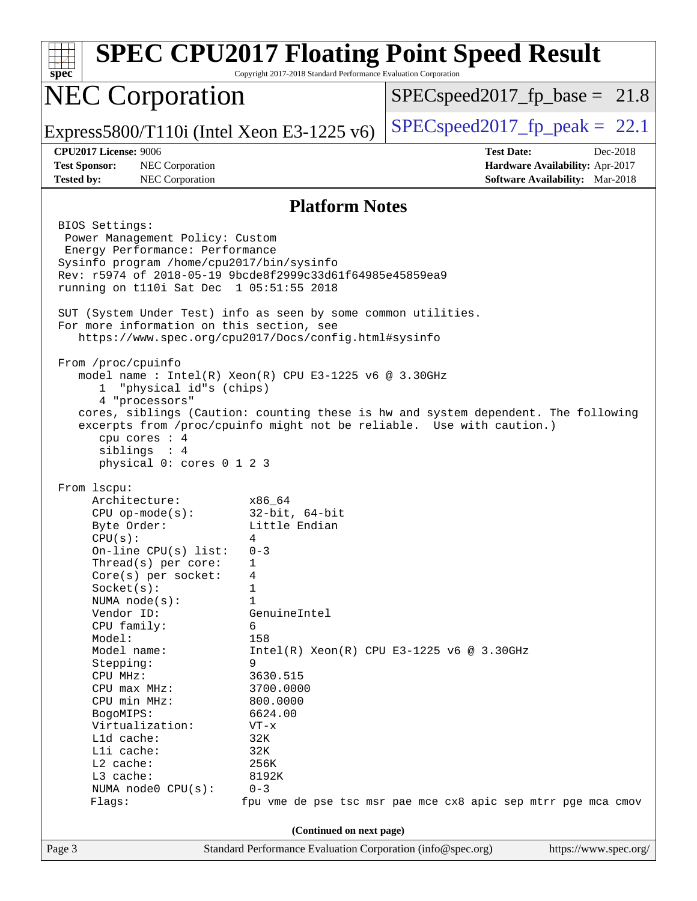| $spec^*$                                                                                                                                                                                                                                                                                                                                                                                                                 | Copyright 2017-2018 Standard Performance Evaluation Corporation                                                                                                                                                 | <b>SPEC CPU2017 Floating Point Speed Result</b>                                                                                                             |
|--------------------------------------------------------------------------------------------------------------------------------------------------------------------------------------------------------------------------------------------------------------------------------------------------------------------------------------------------------------------------------------------------------------------------|-----------------------------------------------------------------------------------------------------------------------------------------------------------------------------------------------------------------|-------------------------------------------------------------------------------------------------------------------------------------------------------------|
| <b>NEC Corporation</b>                                                                                                                                                                                                                                                                                                                                                                                                   |                                                                                                                                                                                                                 | $SPEC speed2017_fp\_base = 21.8$                                                                                                                            |
| Express5800/T110i (Intel Xeon E3-1225 v6)                                                                                                                                                                                                                                                                                                                                                                                |                                                                                                                                                                                                                 | $SPEC speed2017_fp\_peak = 22.1$                                                                                                                            |
| <b>CPU2017 License: 9006</b><br>NEC Corporation<br><b>Test Sponsor:</b><br>NEC Corporation<br><b>Tested by:</b>                                                                                                                                                                                                                                                                                                          |                                                                                                                                                                                                                 | <b>Test Date:</b><br>Dec-2018<br>Hardware Availability: Apr-2017<br><b>Software Availability:</b> Mar-2018                                                  |
|                                                                                                                                                                                                                                                                                                                                                                                                                          | <b>Platform Notes</b>                                                                                                                                                                                           |                                                                                                                                                             |
| BIOS Settings:<br>Power Management Policy: Custom<br>Energy Performance: Performance<br>Sysinfo program /home/cpu2017/bin/sysinfo<br>Rev: r5974 of 2018-05-19 9bcde8f2999c33d61f64985e45859ea9<br>running on t110i Sat Dec 1 05:51:55 2018<br>SUT (System Under Test) info as seen by some common utilities.<br>For more information on this section, see<br>https://www.spec.org/cpu2017/Docs/config.html#sysinfo       |                                                                                                                                                                                                                 |                                                                                                                                                             |
| From /proc/cpuinfo<br>model name: $Intel(R)$ Xeon $(R)$ CPU E3-1225 v6 @ 3.30GHz<br>"physical id"s (chips)<br>$\mathbf{1}$<br>4 "processors"<br>cpu cores : 4<br>siblings : 4<br>physical 0: cores 0 1 2 3                                                                                                                                                                                                               |                                                                                                                                                                                                                 | cores, siblings (Caution: counting these is hw and system dependent. The following<br>excerpts from /proc/cpuinfo might not be reliable. Use with caution.) |
| From 1scpu:<br>Architecture:<br>$CPU$ op-mode(s):<br>Byte Order:<br>CPU(s):<br>On-line CPU(s) list:<br>Thread(s) per core:<br>Core(s) per socket:<br>Socket(s):<br>NUMA $node(s)$ :<br>Vendor ID:<br>CPU family:<br>Model:<br>Model name:<br>Stepping:<br>CPU MHz:<br>CPU max MHz:<br>CPU min MHz:<br>BogoMIPS:<br>Virtualization:<br>L1d cache:<br>Lli cache:<br>L2 cache:<br>L3 cache:<br>NUMA node0 CPU(s):<br>Flags: | x86_64<br>32-bit, 64-bit<br>Little Endian<br>$0 - 3$<br>1<br>4<br>1<br>1<br>GenuineIntel<br>6<br>158<br>9<br>3630.515<br>3700.0000<br>800.0000<br>6624.00<br>$VT - x$<br>32K<br>32K<br>256K<br>8192K<br>$0 - 3$ | $Intel(R) Xeon(R) CPU E3-1225 v6 @ 3.30GHz$<br>fpu vme de pse tsc msr pae mce cx8 apic sep mtrr pge mca cmov                                                |
| Page 3                                                                                                                                                                                                                                                                                                                                                                                                                   | (Continued on next page)<br>Standard Performance Evaluation Corporation (info@spec.org)                                                                                                                         | https://www.spec.org/                                                                                                                                       |
|                                                                                                                                                                                                                                                                                                                                                                                                                          |                                                                                                                                                                                                                 |                                                                                                                                                             |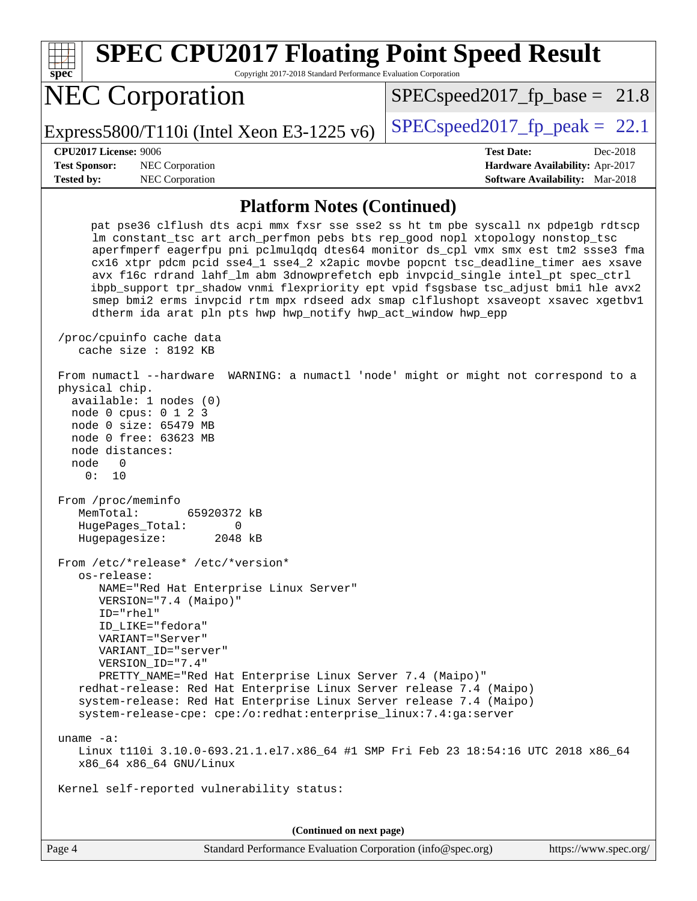| spec <sup>®</sup>                                                                                                                                                                                                                                                                                                                                                                                                                      | Copyright 2017-2018 Standard Performance Evaluation Corporation | <b>SPEC CPU2017 Floating Point Speed Result</b>                                                                                                                                                                                                                                                                                                                                                                                                                                                                                                                                                                 |
|----------------------------------------------------------------------------------------------------------------------------------------------------------------------------------------------------------------------------------------------------------------------------------------------------------------------------------------------------------------------------------------------------------------------------------------|-----------------------------------------------------------------|-----------------------------------------------------------------------------------------------------------------------------------------------------------------------------------------------------------------------------------------------------------------------------------------------------------------------------------------------------------------------------------------------------------------------------------------------------------------------------------------------------------------------------------------------------------------------------------------------------------------|
| <b>NEC Corporation</b>                                                                                                                                                                                                                                                                                                                                                                                                                 |                                                                 | $SPEC speed2017_f p\_base = 21.8$                                                                                                                                                                                                                                                                                                                                                                                                                                                                                                                                                                               |
| Express5800/T110i (Intel Xeon E3-1225 $v6$ )                                                                                                                                                                                                                                                                                                                                                                                           |                                                                 | $SPEC speed2017_fp\_peak = 22.1$                                                                                                                                                                                                                                                                                                                                                                                                                                                                                                                                                                                |
| CPU2017 License: 9006                                                                                                                                                                                                                                                                                                                                                                                                                  |                                                                 | <b>Test Date:</b><br>Dec-2018                                                                                                                                                                                                                                                                                                                                                                                                                                                                                                                                                                                   |
| <b>Test Sponsor:</b><br>NEC Corporation                                                                                                                                                                                                                                                                                                                                                                                                |                                                                 | Hardware Availability: Apr-2017                                                                                                                                                                                                                                                                                                                                                                                                                                                                                                                                                                                 |
| <b>Tested by:</b><br>NEC Corporation                                                                                                                                                                                                                                                                                                                                                                                                   |                                                                 | <b>Software Availability:</b> Mar-2018                                                                                                                                                                                                                                                                                                                                                                                                                                                                                                                                                                          |
|                                                                                                                                                                                                                                                                                                                                                                                                                                        | <b>Platform Notes (Continued)</b>                               |                                                                                                                                                                                                                                                                                                                                                                                                                                                                                                                                                                                                                 |
|                                                                                                                                                                                                                                                                                                                                                                                                                                        | dtherm ida arat pln pts hwp hwp_notify hwp_act_window hwp_epp   | pat pse36 clflush dts acpi mmx fxsr sse sse2 ss ht tm pbe syscall nx pdpelgb rdtscp<br>lm constant_tsc art arch_perfmon pebs bts rep_good nopl xtopology nonstop_tsc<br>aperfmperf eagerfpu pni pclmulqdq dtes64 monitor ds_cpl vmx smx est tm2 ssse3 fma<br>cx16 xtpr pdcm pcid sse4_1 sse4_2 x2apic movbe popcnt tsc_deadline_timer aes xsave<br>avx f16c rdrand lahf_lm abm 3dnowprefetch epb invpcid_single intel_pt spec_ctrl<br>ibpb_support tpr_shadow vnmi flexpriority ept vpid fsgsbase tsc_adjust bmil hle avx2<br>smep bmi2 erms invpcid rtm mpx rdseed adx smap clflushopt xsaveopt xsavec xgetbvl |
| /proc/cpuinfo cache data<br>cache size : 8192 KB                                                                                                                                                                                                                                                                                                                                                                                       |                                                                 |                                                                                                                                                                                                                                                                                                                                                                                                                                                                                                                                                                                                                 |
| From numactl --hardware<br>physical chip.<br>available: 1 nodes (0)<br>node 0 cpus: 0 1 2 3<br>node 0 size: 65479 MB<br>node 0 free: 63623 MB<br>node distances:<br>node<br>0<br>0 :<br>10                                                                                                                                                                                                                                             |                                                                 | WARNING: a numactl 'node' might or might not correspond to a                                                                                                                                                                                                                                                                                                                                                                                                                                                                                                                                                    |
| From /proc/meminfo<br>MemTotal:<br>65920372 kB<br>HugePages_Total:<br>Hugepagesize:                                                                                                                                                                                                                                                                                                                                                    | 0<br>2048 kB                                                    |                                                                                                                                                                                                                                                                                                                                                                                                                                                                                                                                                                                                                 |
| From /etc/*release* /etc/*version*<br>os-release:<br>NAME="Red Hat Enterprise Linux Server"<br>VERSION="7.4 (Maipo)"<br>ID="rhel"<br>ID_LIKE="fedora"<br>VARIANT="Server"<br>VARIANT ID="server"<br>VERSION_ID="7.4"<br>redhat-release: Red Hat Enterprise Linux Server release 7.4 (Maipo)<br>system-release: Red Hat Enterprise Linux Server release 7.4 (Maipo)<br>system-release-cpe: cpe:/o:redhat:enterprise_linux:7.4:ga:server | PRETTY_NAME="Red Hat Enterprise Linux Server 7.4 (Maipo)"       |                                                                                                                                                                                                                                                                                                                                                                                                                                                                                                                                                                                                                 |
| uname $-a$ :<br>x86_64 x86_64 GNU/Linux                                                                                                                                                                                                                                                                                                                                                                                                |                                                                 | Linux t110i 3.10.0-693.21.1.el7.x86_64 #1 SMP Fri Feb 23 18:54:16 UTC 2018 x86_64                                                                                                                                                                                                                                                                                                                                                                                                                                                                                                                               |
| Kernel self-reported vulnerability status:                                                                                                                                                                                                                                                                                                                                                                                             |                                                                 |                                                                                                                                                                                                                                                                                                                                                                                                                                                                                                                                                                                                                 |
|                                                                                                                                                                                                                                                                                                                                                                                                                                        |                                                                 |                                                                                                                                                                                                                                                                                                                                                                                                                                                                                                                                                                                                                 |
|                                                                                                                                                                                                                                                                                                                                                                                                                                        | (Continued on next page)                                        |                                                                                                                                                                                                                                                                                                                                                                                                                                                                                                                                                                                                                 |
| Page 4                                                                                                                                                                                                                                                                                                                                                                                                                                 | Standard Performance Evaluation Corporation (info@spec.org)     | https://www.spec.org/                                                                                                                                                                                                                                                                                                                                                                                                                                                                                                                                                                                           |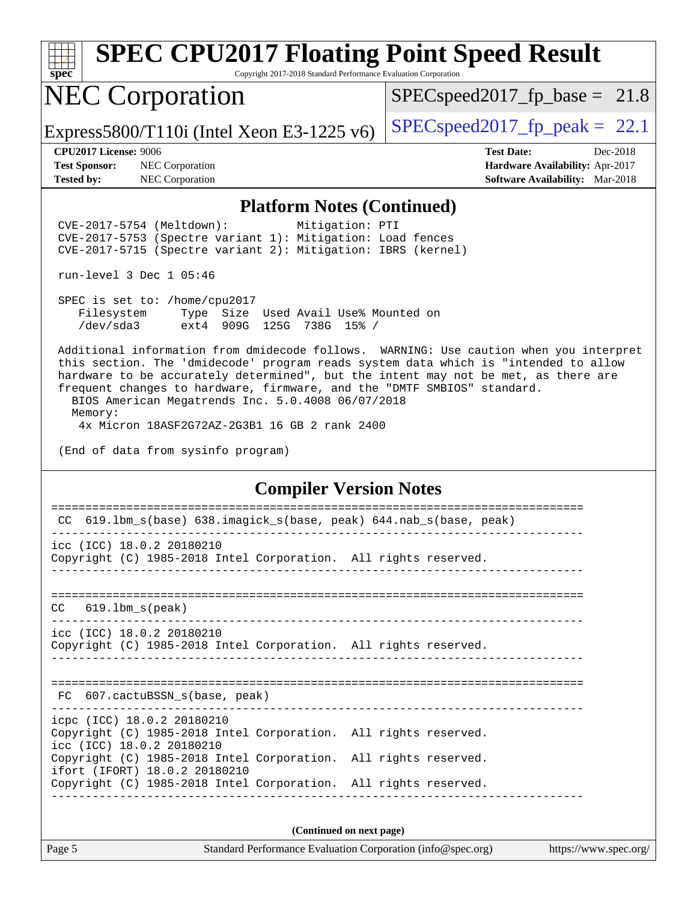| Q. | п | æ | U |  |
|----|---|---|---|--|

Copyright 2017-2018 Standard Performance Evaluation Corporation

# NEC Corporation

 $SPECspeed2017_fp\_base = 21.8$ 

Express5800/T110i (Intel Xeon E3-1225 v6)  $\left|$  [SPECspeed2017\\_fp\\_peak =](http://www.spec.org/auto/cpu2017/Docs/result-fields.html#SPECspeed2017fppeak) 22.1

**[Test Sponsor:](http://www.spec.org/auto/cpu2017/Docs/result-fields.html#TestSponsor)** NEC Corporation **[Hardware Availability:](http://www.spec.org/auto/cpu2017/Docs/result-fields.html#HardwareAvailability)** Apr-2017 **[Tested by:](http://www.spec.org/auto/cpu2017/Docs/result-fields.html#Testedby)** NEC Corporation **[Software Availability:](http://www.spec.org/auto/cpu2017/Docs/result-fields.html#SoftwareAvailability)** Mar-2018

**[CPU2017 License:](http://www.spec.org/auto/cpu2017/Docs/result-fields.html#CPU2017License)** 9006 **[Test Date:](http://www.spec.org/auto/cpu2017/Docs/result-fields.html#TestDate)** Dec-2018

### **[Platform Notes \(Continued\)](http://www.spec.org/auto/cpu2017/Docs/result-fields.html#PlatformNotes)**

 CVE-2017-5754 (Meltdown): Mitigation: PTI CVE-2017-5753 (Spectre variant 1): Mitigation: Load fences CVE-2017-5715 (Spectre variant 2): Mitigation: IBRS (kernel)

run-level 3 Dec 1 05:46

 SPEC is set to: /home/cpu2017 Filesystem Type Size Used Avail Use% Mounted on /dev/sda3 ext4 909G 125G 738G 15% /

 Additional information from dmidecode follows. WARNING: Use caution when you interpret this section. The 'dmidecode' program reads system data which is "intended to allow hardware to be accurately determined", but the intent may not be met, as there are frequent changes to hardware, firmware, and the "DMTF SMBIOS" standard. BIOS American Megatrends Inc. 5.0.4008 06/07/2018 Memory:

4x Micron 18ASF2G72AZ-2G3B1 16 GB 2 rank 2400

(End of data from sysinfo program)

### **[Compiler Version Notes](http://www.spec.org/auto/cpu2017/Docs/result-fields.html#CompilerVersionNotes)**

| CC 619.1bm_s(base) 638.imagick_s(base, peak) 644.nab_s(base, peak)                                                                                                                                                                                                                                                                                                                                                                                             |  |  |  |  |  |  |
|----------------------------------------------------------------------------------------------------------------------------------------------------------------------------------------------------------------------------------------------------------------------------------------------------------------------------------------------------------------------------------------------------------------------------------------------------------------|--|--|--|--|--|--|
| icc (ICC) 18.0.2 20180210<br>Copyright (C) 1985-2018 Intel Corporation. All rights reserved.                                                                                                                                                                                                                                                                                                                                                                   |  |  |  |  |  |  |
| $CC$ $619.1bm_s(peak)$                                                                                                                                                                                                                                                                                                                                                                                                                                         |  |  |  |  |  |  |
| icc (ICC) 18.0.2 20180210<br>Copyright (C) 1985-2018 Intel Corporation. All rights reserved.                                                                                                                                                                                                                                                                                                                                                                   |  |  |  |  |  |  |
| FC 607.cactuBSSN s(base, peak)                                                                                                                                                                                                                                                                                                                                                                                                                                 |  |  |  |  |  |  |
| icpc (ICC) 18.0.2 20180210<br>Copyright (C) 1985-2018 Intel Corporation. All rights reserved.<br>icc (ICC) 18.0.2 20180210                                                                                                                                                                                                                                                                                                                                     |  |  |  |  |  |  |
| Copyright (C) 1985-2018 Intel Corporation. All rights reserved.<br>ifort (IFORT) 18.0.2 20180210                                                                                                                                                                                                                                                                                                                                                               |  |  |  |  |  |  |
| Copyright (C) 1985-2018 Intel Corporation. All rights reserved.                                                                                                                                                                                                                                                                                                                                                                                                |  |  |  |  |  |  |
| (Continued on next page)<br>$\mathbf{r}$ $\mathbf{r}$<br>$\alpha$ , $\mathbf{1}$ , $\mathbf{1}$ , $\mathbf{P}$ , $\mathbf{1}$ , $\alpha$ , $\alpha$ , $\alpha$ , $\alpha$ , $\alpha$ , $\alpha$ , $\alpha$ , $\alpha$ , $\alpha$ , $\alpha$ , $\alpha$ , $\alpha$ , $\alpha$ , $\alpha$ , $\alpha$ , $\alpha$ , $\alpha$ , $\alpha$ , $\alpha$ , $\alpha$ , $\alpha$ , $\alpha$ , $\alpha$ , $\alpha$ , $\alpha$ , $\alpha$ , $\alpha$ , $\alpha$ , $\alpha$ , |  |  |  |  |  |  |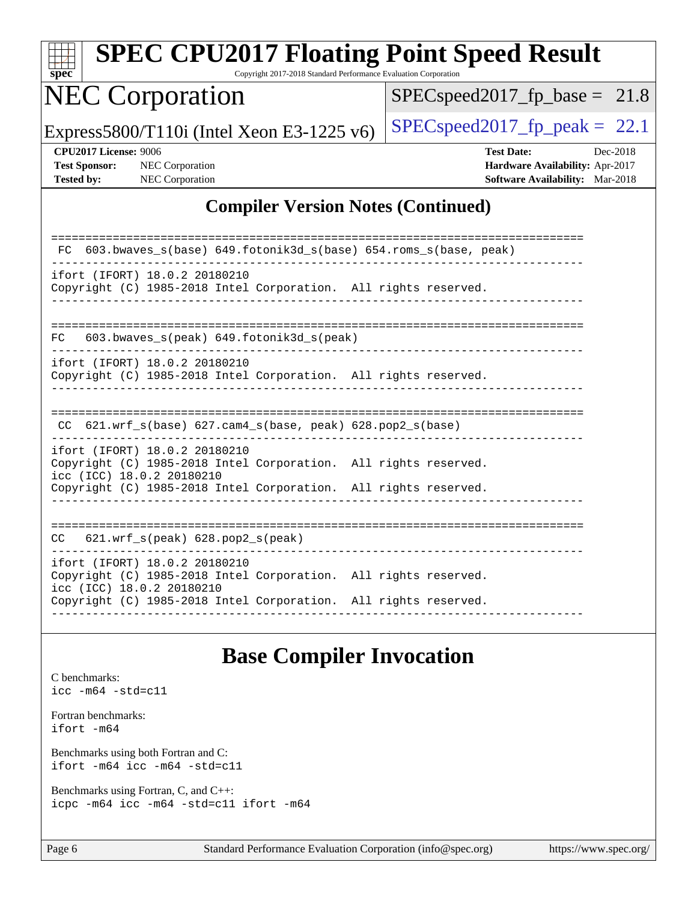| <b>SPEC CPU2017 Floating Point Speed Result</b><br>$spec^*$                                                                   | Copyright 2017-2018 Standard Performance Evaluation Corporation |                                                                                                     |  |
|-------------------------------------------------------------------------------------------------------------------------------|-----------------------------------------------------------------|-----------------------------------------------------------------------------------------------------|--|
| <b>NEC Corporation</b>                                                                                                        |                                                                 | $SPEC speed2017_f p\_base = 21.8$                                                                   |  |
| Express5800/T110i (Intel Xeon E3-1225 $v6$ )                                                                                  |                                                                 | $SPEC speed2017_fp\_peak = 22.1$                                                                    |  |
| CPU2017 License: 9006<br><b>Test Sponsor:</b><br>NEC Corporation<br>NEC Corporation<br><b>Tested by:</b>                      |                                                                 | <b>Test Date:</b><br>Dec-2018<br>Hardware Availability: Apr-2017<br>Software Availability: Mar-2018 |  |
|                                                                                                                               | <b>Compiler Version Notes (Continued)</b>                       |                                                                                                     |  |
|                                                                                                                               |                                                                 |                                                                                                     |  |
| FC 603.bwaves_s(base) 649.fotonik3d_s(base) 654.roms_s(base, peak)                                                            |                                                                 |                                                                                                     |  |
| ifort (IFORT) 18.0.2 20180210<br>Copyright (C) 1985-2018 Intel Corporation. All rights reserved.                              |                                                                 |                                                                                                     |  |
|                                                                                                                               |                                                                 |                                                                                                     |  |
| 603.bwaves_s(peak) 649.fotonik3d_s(peak)<br>FC.                                                                               |                                                                 |                                                                                                     |  |
| ifort (IFORT) 18.0.2 20180210<br>Copyright (C) 1985-2018 Intel Corporation. All rights reserved.                              |                                                                 |                                                                                                     |  |
| $621.wrf_s(base)$ $627.cam4_s(base, peak)$ $628.pop2_s(base)$<br>CC.                                                          |                                                                 |                                                                                                     |  |
| ifort (IFORT) 18.0.2 20180210<br>Copyright (C) 1985-2018 Intel Corporation. All rights reserved.<br>icc (ICC) 18.0.2 20180210 |                                                                 |                                                                                                     |  |
| Copyright (C) 1985-2018 Intel Corporation. All rights reserved.                                                               |                                                                 |                                                                                                     |  |
| CC 621.wrf_s(peak) 628.pop2_s(peak)                                                                                           |                                                                 |                                                                                                     |  |
| ifort (IFORT) 18.0.2 20180210<br>Copyright (C) 1985-2018 Intel Corporation. All rights reserved.<br>icc (ICC) 18.0.2 20180210 |                                                                 |                                                                                                     |  |
| Copyright (C) 1985-2018 Intel Corporation. All rights reserved.                                                               |                                                                 |                                                                                                     |  |
|                                                                                                                               |                                                                 |                                                                                                     |  |

### **[Base Compiler Invocation](http://www.spec.org/auto/cpu2017/Docs/result-fields.html#BaseCompilerInvocation)**

[C benchmarks](http://www.spec.org/auto/cpu2017/Docs/result-fields.html#Cbenchmarks): [icc -m64 -std=c11](http://www.spec.org/cpu2017/results/res2018q4/cpu2017-20181210-10030.flags.html#user_CCbase_intel_icc_64bit_c11_33ee0cdaae7deeeab2a9725423ba97205ce30f63b9926c2519791662299b76a0318f32ddfffdc46587804de3178b4f9328c46fa7c2b0cd779d7a61945c91cd35) [Fortran benchmarks](http://www.spec.org/auto/cpu2017/Docs/result-fields.html#Fortranbenchmarks): [ifort -m64](http://www.spec.org/cpu2017/results/res2018q4/cpu2017-20181210-10030.flags.html#user_FCbase_intel_ifort_64bit_24f2bb282fbaeffd6157abe4f878425411749daecae9a33200eee2bee2fe76f3b89351d69a8130dd5949958ce389cf37ff59a95e7a40d588e8d3a57e0c3fd751) [Benchmarks using both Fortran and C](http://www.spec.org/auto/cpu2017/Docs/result-fields.html#BenchmarksusingbothFortranandC): [ifort -m64](http://www.spec.org/cpu2017/results/res2018q4/cpu2017-20181210-10030.flags.html#user_CC_FCbase_intel_ifort_64bit_24f2bb282fbaeffd6157abe4f878425411749daecae9a33200eee2bee2fe76f3b89351d69a8130dd5949958ce389cf37ff59a95e7a40d588e8d3a57e0c3fd751) [icc -m64 -std=c11](http://www.spec.org/cpu2017/results/res2018q4/cpu2017-20181210-10030.flags.html#user_CC_FCbase_intel_icc_64bit_c11_33ee0cdaae7deeeab2a9725423ba97205ce30f63b9926c2519791662299b76a0318f32ddfffdc46587804de3178b4f9328c46fa7c2b0cd779d7a61945c91cd35) [Benchmarks using Fortran, C, and C++:](http://www.spec.org/auto/cpu2017/Docs/result-fields.html#BenchmarksusingFortranCandCXX) [icpc -m64](http://www.spec.org/cpu2017/results/res2018q4/cpu2017-20181210-10030.flags.html#user_CC_CXX_FCbase_intel_icpc_64bit_4ecb2543ae3f1412ef961e0650ca070fec7b7afdcd6ed48761b84423119d1bf6bdf5cad15b44d48e7256388bc77273b966e5eb805aefd121eb22e9299b2ec9d9) [icc -m64 -std=c11](http://www.spec.org/cpu2017/results/res2018q4/cpu2017-20181210-10030.flags.html#user_CC_CXX_FCbase_intel_icc_64bit_c11_33ee0cdaae7deeeab2a9725423ba97205ce30f63b9926c2519791662299b76a0318f32ddfffdc46587804de3178b4f9328c46fa7c2b0cd779d7a61945c91cd35) [ifort -m64](http://www.spec.org/cpu2017/results/res2018q4/cpu2017-20181210-10030.flags.html#user_CC_CXX_FCbase_intel_ifort_64bit_24f2bb282fbaeffd6157abe4f878425411749daecae9a33200eee2bee2fe76f3b89351d69a8130dd5949958ce389cf37ff59a95e7a40d588e8d3a57e0c3fd751)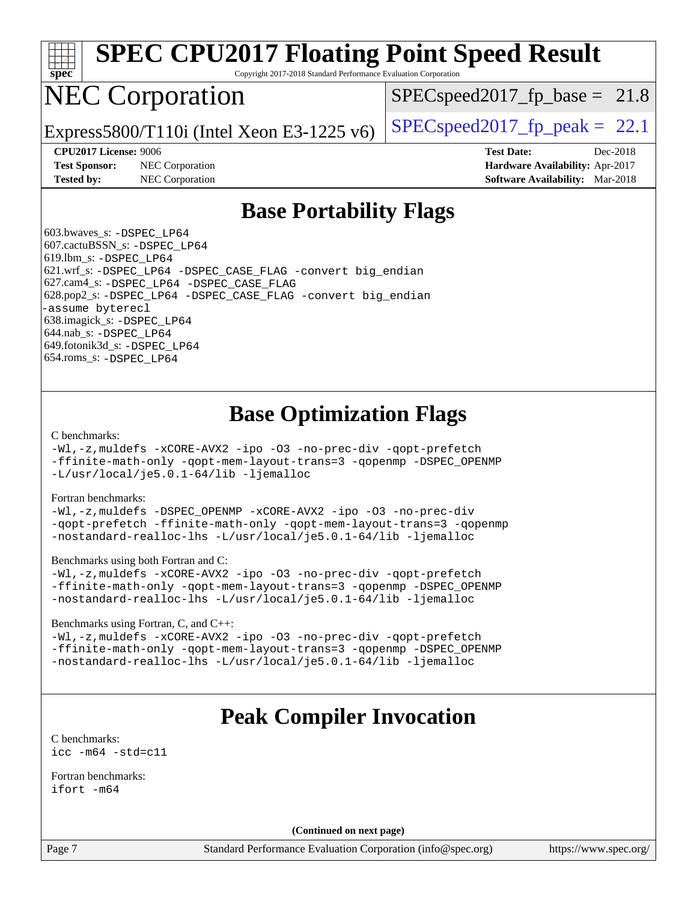

Copyright 2017-2018 Standard Performance Evaluation Corporation

## NEC Corporation

 $SPECspeed2017<sub>fp</sub> base = 21.8$ 

Express5800/T110i (Intel Xeon E3-1225 v6) [SPECspeed2017\\_fp\\_peak =](http://www.spec.org/auto/cpu2017/Docs/result-fields.html#SPECspeed2017fppeak) 22.1

**[Test Sponsor:](http://www.spec.org/auto/cpu2017/Docs/result-fields.html#TestSponsor)** NEC Corporation **[Hardware Availability:](http://www.spec.org/auto/cpu2017/Docs/result-fields.html#HardwareAvailability)** Apr-2017 **[Tested by:](http://www.spec.org/auto/cpu2017/Docs/result-fields.html#Testedby)** NEC Corporation **[Software Availability:](http://www.spec.org/auto/cpu2017/Docs/result-fields.html#SoftwareAvailability)** Mar-2018

**[CPU2017 License:](http://www.spec.org/auto/cpu2017/Docs/result-fields.html#CPU2017License)** 9006 **[Test Date:](http://www.spec.org/auto/cpu2017/Docs/result-fields.html#TestDate)** Dec-2018

### **[Base Portability Flags](http://www.spec.org/auto/cpu2017/Docs/result-fields.html#BasePortabilityFlags)**

 603.bwaves\_s: [-DSPEC\\_LP64](http://www.spec.org/cpu2017/results/res2018q4/cpu2017-20181210-10030.flags.html#suite_basePORTABILITY603_bwaves_s_DSPEC_LP64) 607.cactuBSSN\_s: [-DSPEC\\_LP64](http://www.spec.org/cpu2017/results/res2018q4/cpu2017-20181210-10030.flags.html#suite_basePORTABILITY607_cactuBSSN_s_DSPEC_LP64) 619.lbm\_s: [-DSPEC\\_LP64](http://www.spec.org/cpu2017/results/res2018q4/cpu2017-20181210-10030.flags.html#suite_basePORTABILITY619_lbm_s_DSPEC_LP64) 621.wrf\_s: [-DSPEC\\_LP64](http://www.spec.org/cpu2017/results/res2018q4/cpu2017-20181210-10030.flags.html#suite_basePORTABILITY621_wrf_s_DSPEC_LP64) [-DSPEC\\_CASE\\_FLAG](http://www.spec.org/cpu2017/results/res2018q4/cpu2017-20181210-10030.flags.html#b621.wrf_s_baseCPORTABILITY_DSPEC_CASE_FLAG) [-convert big\\_endian](http://www.spec.org/cpu2017/results/res2018q4/cpu2017-20181210-10030.flags.html#user_baseFPORTABILITY621_wrf_s_convert_big_endian_c3194028bc08c63ac5d04de18c48ce6d347e4e562e8892b8bdbdc0214820426deb8554edfa529a3fb25a586e65a3d812c835984020483e7e73212c4d31a38223) 627.cam4\_s: [-DSPEC\\_LP64](http://www.spec.org/cpu2017/results/res2018q4/cpu2017-20181210-10030.flags.html#suite_basePORTABILITY627_cam4_s_DSPEC_LP64) [-DSPEC\\_CASE\\_FLAG](http://www.spec.org/cpu2017/results/res2018q4/cpu2017-20181210-10030.flags.html#b627.cam4_s_baseCPORTABILITY_DSPEC_CASE_FLAG) 628.pop2\_s: [-DSPEC\\_LP64](http://www.spec.org/cpu2017/results/res2018q4/cpu2017-20181210-10030.flags.html#suite_basePORTABILITY628_pop2_s_DSPEC_LP64) [-DSPEC\\_CASE\\_FLAG](http://www.spec.org/cpu2017/results/res2018q4/cpu2017-20181210-10030.flags.html#b628.pop2_s_baseCPORTABILITY_DSPEC_CASE_FLAG) [-convert big\\_endian](http://www.spec.org/cpu2017/results/res2018q4/cpu2017-20181210-10030.flags.html#user_baseFPORTABILITY628_pop2_s_convert_big_endian_c3194028bc08c63ac5d04de18c48ce6d347e4e562e8892b8bdbdc0214820426deb8554edfa529a3fb25a586e65a3d812c835984020483e7e73212c4d31a38223) [-assume byterecl](http://www.spec.org/cpu2017/results/res2018q4/cpu2017-20181210-10030.flags.html#user_baseFPORTABILITY628_pop2_s_assume_byterecl_7e47d18b9513cf18525430bbf0f2177aa9bf368bc7a059c09b2c06a34b53bd3447c950d3f8d6c70e3faf3a05c8557d66a5798b567902e8849adc142926523472) 638.imagick\_s: [-DSPEC\\_LP64](http://www.spec.org/cpu2017/results/res2018q4/cpu2017-20181210-10030.flags.html#suite_basePORTABILITY638_imagick_s_DSPEC_LP64) 644.nab\_s: [-DSPEC\\_LP64](http://www.spec.org/cpu2017/results/res2018q4/cpu2017-20181210-10030.flags.html#suite_basePORTABILITY644_nab_s_DSPEC_LP64) 649.fotonik3d\_s: [-DSPEC\\_LP64](http://www.spec.org/cpu2017/results/res2018q4/cpu2017-20181210-10030.flags.html#suite_basePORTABILITY649_fotonik3d_s_DSPEC_LP64) 654.roms\_s: [-DSPEC\\_LP64](http://www.spec.org/cpu2017/results/res2018q4/cpu2017-20181210-10030.flags.html#suite_basePORTABILITY654_roms_s_DSPEC_LP64)

### **[Base Optimization Flags](http://www.spec.org/auto/cpu2017/Docs/result-fields.html#BaseOptimizationFlags)**

#### [C benchmarks](http://www.spec.org/auto/cpu2017/Docs/result-fields.html#Cbenchmarks):

[-Wl,-z,muldefs](http://www.spec.org/cpu2017/results/res2018q4/cpu2017-20181210-10030.flags.html#user_CCbase_link_force_multiple1_b4cbdb97b34bdee9ceefcfe54f4c8ea74255f0b02a4b23e853cdb0e18eb4525ac79b5a88067c842dd0ee6996c24547a27a4b99331201badda8798ef8a743f577) [-xCORE-AVX2](http://www.spec.org/cpu2017/results/res2018q4/cpu2017-20181210-10030.flags.html#user_CCbase_f-xCORE-AVX2) [-ipo](http://www.spec.org/cpu2017/results/res2018q4/cpu2017-20181210-10030.flags.html#user_CCbase_f-ipo) [-O3](http://www.spec.org/cpu2017/results/res2018q4/cpu2017-20181210-10030.flags.html#user_CCbase_f-O3) [-no-prec-div](http://www.spec.org/cpu2017/results/res2018q4/cpu2017-20181210-10030.flags.html#user_CCbase_f-no-prec-div) [-qopt-prefetch](http://www.spec.org/cpu2017/results/res2018q4/cpu2017-20181210-10030.flags.html#user_CCbase_f-qopt-prefetch) [-ffinite-math-only](http://www.spec.org/cpu2017/results/res2018q4/cpu2017-20181210-10030.flags.html#user_CCbase_f_finite_math_only_cb91587bd2077682c4b38af759c288ed7c732db004271a9512da14a4f8007909a5f1427ecbf1a0fb78ff2a814402c6114ac565ca162485bbcae155b5e4258871) [-qopt-mem-layout-trans=3](http://www.spec.org/cpu2017/results/res2018q4/cpu2017-20181210-10030.flags.html#user_CCbase_f-qopt-mem-layout-trans_de80db37974c74b1f0e20d883f0b675c88c3b01e9d123adea9b28688d64333345fb62bc4a798493513fdb68f60282f9a726aa07f478b2f7113531aecce732043) [-qopenmp](http://www.spec.org/cpu2017/results/res2018q4/cpu2017-20181210-10030.flags.html#user_CCbase_qopenmp_16be0c44f24f464004c6784a7acb94aca937f053568ce72f94b139a11c7c168634a55f6653758ddd83bcf7b8463e8028bb0b48b77bcddc6b78d5d95bb1df2967) [-DSPEC\\_OPENMP](http://www.spec.org/cpu2017/results/res2018q4/cpu2017-20181210-10030.flags.html#suite_CCbase_DSPEC_OPENMP) [-L/usr/local/je5.0.1-64/lib](http://www.spec.org/cpu2017/results/res2018q4/cpu2017-20181210-10030.flags.html#user_CCbase_jemalloc_link_path64_4b10a636b7bce113509b17f3bd0d6226c5fb2346b9178c2d0232c14f04ab830f976640479e5c33dc2bcbbdad86ecfb6634cbbd4418746f06f368b512fced5394) [-ljemalloc](http://www.spec.org/cpu2017/results/res2018q4/cpu2017-20181210-10030.flags.html#user_CCbase_jemalloc_link_lib_d1249b907c500fa1c0672f44f562e3d0f79738ae9e3c4a9c376d49f265a04b9c99b167ecedbf6711b3085be911c67ff61f150a17b3472be731631ba4d0471706)

#### [Fortran benchmarks](http://www.spec.org/auto/cpu2017/Docs/result-fields.html#Fortranbenchmarks):

[-Wl,-z,muldefs](http://www.spec.org/cpu2017/results/res2018q4/cpu2017-20181210-10030.flags.html#user_FCbase_link_force_multiple1_b4cbdb97b34bdee9ceefcfe54f4c8ea74255f0b02a4b23e853cdb0e18eb4525ac79b5a88067c842dd0ee6996c24547a27a4b99331201badda8798ef8a743f577) [-DSPEC\\_OPENMP](http://www.spec.org/cpu2017/results/res2018q4/cpu2017-20181210-10030.flags.html#suite_FCbase_DSPEC_OPENMP) [-xCORE-AVX2](http://www.spec.org/cpu2017/results/res2018q4/cpu2017-20181210-10030.flags.html#user_FCbase_f-xCORE-AVX2) [-ipo](http://www.spec.org/cpu2017/results/res2018q4/cpu2017-20181210-10030.flags.html#user_FCbase_f-ipo) [-O3](http://www.spec.org/cpu2017/results/res2018q4/cpu2017-20181210-10030.flags.html#user_FCbase_f-O3) [-no-prec-div](http://www.spec.org/cpu2017/results/res2018q4/cpu2017-20181210-10030.flags.html#user_FCbase_f-no-prec-div) [-qopt-prefetch](http://www.spec.org/cpu2017/results/res2018q4/cpu2017-20181210-10030.flags.html#user_FCbase_f-qopt-prefetch) [-ffinite-math-only](http://www.spec.org/cpu2017/results/res2018q4/cpu2017-20181210-10030.flags.html#user_FCbase_f_finite_math_only_cb91587bd2077682c4b38af759c288ed7c732db004271a9512da14a4f8007909a5f1427ecbf1a0fb78ff2a814402c6114ac565ca162485bbcae155b5e4258871) [-qopt-mem-layout-trans=3](http://www.spec.org/cpu2017/results/res2018q4/cpu2017-20181210-10030.flags.html#user_FCbase_f-qopt-mem-layout-trans_de80db37974c74b1f0e20d883f0b675c88c3b01e9d123adea9b28688d64333345fb62bc4a798493513fdb68f60282f9a726aa07f478b2f7113531aecce732043) [-qopenmp](http://www.spec.org/cpu2017/results/res2018q4/cpu2017-20181210-10030.flags.html#user_FCbase_qopenmp_16be0c44f24f464004c6784a7acb94aca937f053568ce72f94b139a11c7c168634a55f6653758ddd83bcf7b8463e8028bb0b48b77bcddc6b78d5d95bb1df2967) [-nostandard-realloc-lhs](http://www.spec.org/cpu2017/results/res2018q4/cpu2017-20181210-10030.flags.html#user_FCbase_f_2003_std_realloc_82b4557e90729c0f113870c07e44d33d6f5a304b4f63d4c15d2d0f1fab99f5daaed73bdb9275d9ae411527f28b936061aa8b9c8f2d63842963b95c9dd6426b8a) [-L/usr/local/je5.0.1-64/lib](http://www.spec.org/cpu2017/results/res2018q4/cpu2017-20181210-10030.flags.html#user_FCbase_jemalloc_link_path64_4b10a636b7bce113509b17f3bd0d6226c5fb2346b9178c2d0232c14f04ab830f976640479e5c33dc2bcbbdad86ecfb6634cbbd4418746f06f368b512fced5394) [-ljemalloc](http://www.spec.org/cpu2017/results/res2018q4/cpu2017-20181210-10030.flags.html#user_FCbase_jemalloc_link_lib_d1249b907c500fa1c0672f44f562e3d0f79738ae9e3c4a9c376d49f265a04b9c99b167ecedbf6711b3085be911c67ff61f150a17b3472be731631ba4d0471706)

#### [Benchmarks using both Fortran and C](http://www.spec.org/auto/cpu2017/Docs/result-fields.html#BenchmarksusingbothFortranandC):

[-Wl,-z,muldefs](http://www.spec.org/cpu2017/results/res2018q4/cpu2017-20181210-10030.flags.html#user_CC_FCbase_link_force_multiple1_b4cbdb97b34bdee9ceefcfe54f4c8ea74255f0b02a4b23e853cdb0e18eb4525ac79b5a88067c842dd0ee6996c24547a27a4b99331201badda8798ef8a743f577) [-xCORE-AVX2](http://www.spec.org/cpu2017/results/res2018q4/cpu2017-20181210-10030.flags.html#user_CC_FCbase_f-xCORE-AVX2) [-ipo](http://www.spec.org/cpu2017/results/res2018q4/cpu2017-20181210-10030.flags.html#user_CC_FCbase_f-ipo) [-O3](http://www.spec.org/cpu2017/results/res2018q4/cpu2017-20181210-10030.flags.html#user_CC_FCbase_f-O3) [-no-prec-div](http://www.spec.org/cpu2017/results/res2018q4/cpu2017-20181210-10030.flags.html#user_CC_FCbase_f-no-prec-div) [-qopt-prefetch](http://www.spec.org/cpu2017/results/res2018q4/cpu2017-20181210-10030.flags.html#user_CC_FCbase_f-qopt-prefetch) [-ffinite-math-only](http://www.spec.org/cpu2017/results/res2018q4/cpu2017-20181210-10030.flags.html#user_CC_FCbase_f_finite_math_only_cb91587bd2077682c4b38af759c288ed7c732db004271a9512da14a4f8007909a5f1427ecbf1a0fb78ff2a814402c6114ac565ca162485bbcae155b5e4258871) [-qopt-mem-layout-trans=3](http://www.spec.org/cpu2017/results/res2018q4/cpu2017-20181210-10030.flags.html#user_CC_FCbase_f-qopt-mem-layout-trans_de80db37974c74b1f0e20d883f0b675c88c3b01e9d123adea9b28688d64333345fb62bc4a798493513fdb68f60282f9a726aa07f478b2f7113531aecce732043) [-qopenmp](http://www.spec.org/cpu2017/results/res2018q4/cpu2017-20181210-10030.flags.html#user_CC_FCbase_qopenmp_16be0c44f24f464004c6784a7acb94aca937f053568ce72f94b139a11c7c168634a55f6653758ddd83bcf7b8463e8028bb0b48b77bcddc6b78d5d95bb1df2967) [-DSPEC\\_OPENMP](http://www.spec.org/cpu2017/results/res2018q4/cpu2017-20181210-10030.flags.html#suite_CC_FCbase_DSPEC_OPENMP) [-nostandard-realloc-lhs](http://www.spec.org/cpu2017/results/res2018q4/cpu2017-20181210-10030.flags.html#user_CC_FCbase_f_2003_std_realloc_82b4557e90729c0f113870c07e44d33d6f5a304b4f63d4c15d2d0f1fab99f5daaed73bdb9275d9ae411527f28b936061aa8b9c8f2d63842963b95c9dd6426b8a) [-L/usr/local/je5.0.1-64/lib](http://www.spec.org/cpu2017/results/res2018q4/cpu2017-20181210-10030.flags.html#user_CC_FCbase_jemalloc_link_path64_4b10a636b7bce113509b17f3bd0d6226c5fb2346b9178c2d0232c14f04ab830f976640479e5c33dc2bcbbdad86ecfb6634cbbd4418746f06f368b512fced5394) [-ljemalloc](http://www.spec.org/cpu2017/results/res2018q4/cpu2017-20181210-10030.flags.html#user_CC_FCbase_jemalloc_link_lib_d1249b907c500fa1c0672f44f562e3d0f79738ae9e3c4a9c376d49f265a04b9c99b167ecedbf6711b3085be911c67ff61f150a17b3472be731631ba4d0471706)

#### [Benchmarks using Fortran, C, and C++:](http://www.spec.org/auto/cpu2017/Docs/result-fields.html#BenchmarksusingFortranCandCXX)

[-Wl,-z,muldefs](http://www.spec.org/cpu2017/results/res2018q4/cpu2017-20181210-10030.flags.html#user_CC_CXX_FCbase_link_force_multiple1_b4cbdb97b34bdee9ceefcfe54f4c8ea74255f0b02a4b23e853cdb0e18eb4525ac79b5a88067c842dd0ee6996c24547a27a4b99331201badda8798ef8a743f577) [-xCORE-AVX2](http://www.spec.org/cpu2017/results/res2018q4/cpu2017-20181210-10030.flags.html#user_CC_CXX_FCbase_f-xCORE-AVX2) [-ipo](http://www.spec.org/cpu2017/results/res2018q4/cpu2017-20181210-10030.flags.html#user_CC_CXX_FCbase_f-ipo) [-O3](http://www.spec.org/cpu2017/results/res2018q4/cpu2017-20181210-10030.flags.html#user_CC_CXX_FCbase_f-O3) [-no-prec-div](http://www.spec.org/cpu2017/results/res2018q4/cpu2017-20181210-10030.flags.html#user_CC_CXX_FCbase_f-no-prec-div) [-qopt-prefetch](http://www.spec.org/cpu2017/results/res2018q4/cpu2017-20181210-10030.flags.html#user_CC_CXX_FCbase_f-qopt-prefetch) [-ffinite-math-only](http://www.spec.org/cpu2017/results/res2018q4/cpu2017-20181210-10030.flags.html#user_CC_CXX_FCbase_f_finite_math_only_cb91587bd2077682c4b38af759c288ed7c732db004271a9512da14a4f8007909a5f1427ecbf1a0fb78ff2a814402c6114ac565ca162485bbcae155b5e4258871) [-qopt-mem-layout-trans=3](http://www.spec.org/cpu2017/results/res2018q4/cpu2017-20181210-10030.flags.html#user_CC_CXX_FCbase_f-qopt-mem-layout-trans_de80db37974c74b1f0e20d883f0b675c88c3b01e9d123adea9b28688d64333345fb62bc4a798493513fdb68f60282f9a726aa07f478b2f7113531aecce732043) [-qopenmp](http://www.spec.org/cpu2017/results/res2018q4/cpu2017-20181210-10030.flags.html#user_CC_CXX_FCbase_qopenmp_16be0c44f24f464004c6784a7acb94aca937f053568ce72f94b139a11c7c168634a55f6653758ddd83bcf7b8463e8028bb0b48b77bcddc6b78d5d95bb1df2967) [-DSPEC\\_OPENMP](http://www.spec.org/cpu2017/results/res2018q4/cpu2017-20181210-10030.flags.html#suite_CC_CXX_FCbase_DSPEC_OPENMP) [-nostandard-realloc-lhs](http://www.spec.org/cpu2017/results/res2018q4/cpu2017-20181210-10030.flags.html#user_CC_CXX_FCbase_f_2003_std_realloc_82b4557e90729c0f113870c07e44d33d6f5a304b4f63d4c15d2d0f1fab99f5daaed73bdb9275d9ae411527f28b936061aa8b9c8f2d63842963b95c9dd6426b8a) [-L/usr/local/je5.0.1-64/lib](http://www.spec.org/cpu2017/results/res2018q4/cpu2017-20181210-10030.flags.html#user_CC_CXX_FCbase_jemalloc_link_path64_4b10a636b7bce113509b17f3bd0d6226c5fb2346b9178c2d0232c14f04ab830f976640479e5c33dc2bcbbdad86ecfb6634cbbd4418746f06f368b512fced5394) [-ljemalloc](http://www.spec.org/cpu2017/results/res2018q4/cpu2017-20181210-10030.flags.html#user_CC_CXX_FCbase_jemalloc_link_lib_d1249b907c500fa1c0672f44f562e3d0f79738ae9e3c4a9c376d49f265a04b9c99b167ecedbf6711b3085be911c67ff61f150a17b3472be731631ba4d0471706)

### **[Peak Compiler Invocation](http://www.spec.org/auto/cpu2017/Docs/result-fields.html#PeakCompilerInvocation)**

[C benchmarks](http://www.spec.org/auto/cpu2017/Docs/result-fields.html#Cbenchmarks): [icc -m64 -std=c11](http://www.spec.org/cpu2017/results/res2018q4/cpu2017-20181210-10030.flags.html#user_CCpeak_intel_icc_64bit_c11_33ee0cdaae7deeeab2a9725423ba97205ce30f63b9926c2519791662299b76a0318f32ddfffdc46587804de3178b4f9328c46fa7c2b0cd779d7a61945c91cd35)

[Fortran benchmarks](http://www.spec.org/auto/cpu2017/Docs/result-fields.html#Fortranbenchmarks): [ifort -m64](http://www.spec.org/cpu2017/results/res2018q4/cpu2017-20181210-10030.flags.html#user_FCpeak_intel_ifort_64bit_24f2bb282fbaeffd6157abe4f878425411749daecae9a33200eee2bee2fe76f3b89351d69a8130dd5949958ce389cf37ff59a95e7a40d588e8d3a57e0c3fd751)

**(Continued on next page)**

Page 7 Standard Performance Evaluation Corporation [\(info@spec.org\)](mailto:info@spec.org) <https://www.spec.org/>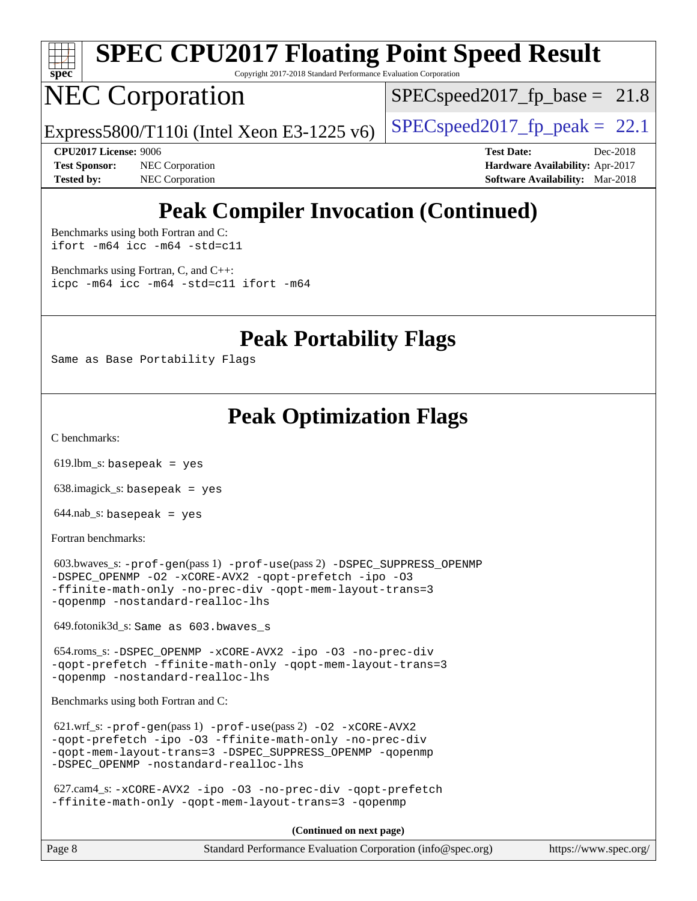

Copyright 2017-2018 Standard Performance Evaluation Corporation

### NEC Corporation

 $SPECspeed2017<sub>fp</sub> base = 21.8$ 

Express5800/T110i (Intel Xeon E3-1225 v6)  $\left|$  [SPECspeed2017\\_fp\\_peak =](http://www.spec.org/auto/cpu2017/Docs/result-fields.html#SPECspeed2017fppeak) 22.1

**[Test Sponsor:](http://www.spec.org/auto/cpu2017/Docs/result-fields.html#TestSponsor)** NEC Corporation **[Hardware Availability:](http://www.spec.org/auto/cpu2017/Docs/result-fields.html#HardwareAvailability)** Apr-2017 **[Tested by:](http://www.spec.org/auto/cpu2017/Docs/result-fields.html#Testedby)** NEC Corporation **[Software Availability:](http://www.spec.org/auto/cpu2017/Docs/result-fields.html#SoftwareAvailability)** Mar-2018

**[CPU2017 License:](http://www.spec.org/auto/cpu2017/Docs/result-fields.html#CPU2017License)** 9006 **[Test Date:](http://www.spec.org/auto/cpu2017/Docs/result-fields.html#TestDate)** Dec-2018

### **[Peak Compiler Invocation \(Continued\)](http://www.spec.org/auto/cpu2017/Docs/result-fields.html#PeakCompilerInvocation)**

[Benchmarks using both Fortran and C](http://www.spec.org/auto/cpu2017/Docs/result-fields.html#BenchmarksusingbothFortranandC): [ifort -m64](http://www.spec.org/cpu2017/results/res2018q4/cpu2017-20181210-10030.flags.html#user_CC_FCpeak_intel_ifort_64bit_24f2bb282fbaeffd6157abe4f878425411749daecae9a33200eee2bee2fe76f3b89351d69a8130dd5949958ce389cf37ff59a95e7a40d588e8d3a57e0c3fd751) [icc -m64 -std=c11](http://www.spec.org/cpu2017/results/res2018q4/cpu2017-20181210-10030.flags.html#user_CC_FCpeak_intel_icc_64bit_c11_33ee0cdaae7deeeab2a9725423ba97205ce30f63b9926c2519791662299b76a0318f32ddfffdc46587804de3178b4f9328c46fa7c2b0cd779d7a61945c91cd35)

[Benchmarks using Fortran, C, and C++:](http://www.spec.org/auto/cpu2017/Docs/result-fields.html#BenchmarksusingFortranCandCXX) [icpc -m64](http://www.spec.org/cpu2017/results/res2018q4/cpu2017-20181210-10030.flags.html#user_CC_CXX_FCpeak_intel_icpc_64bit_4ecb2543ae3f1412ef961e0650ca070fec7b7afdcd6ed48761b84423119d1bf6bdf5cad15b44d48e7256388bc77273b966e5eb805aefd121eb22e9299b2ec9d9) [icc -m64 -std=c11](http://www.spec.org/cpu2017/results/res2018q4/cpu2017-20181210-10030.flags.html#user_CC_CXX_FCpeak_intel_icc_64bit_c11_33ee0cdaae7deeeab2a9725423ba97205ce30f63b9926c2519791662299b76a0318f32ddfffdc46587804de3178b4f9328c46fa7c2b0cd779d7a61945c91cd35) [ifort -m64](http://www.spec.org/cpu2017/results/res2018q4/cpu2017-20181210-10030.flags.html#user_CC_CXX_FCpeak_intel_ifort_64bit_24f2bb282fbaeffd6157abe4f878425411749daecae9a33200eee2bee2fe76f3b89351d69a8130dd5949958ce389cf37ff59a95e7a40d588e8d3a57e0c3fd751)

**[Peak Portability Flags](http://www.spec.org/auto/cpu2017/Docs/result-fields.html#PeakPortabilityFlags)**

Same as Base Portability Flags

### **[Peak Optimization Flags](http://www.spec.org/auto/cpu2017/Docs/result-fields.html#PeakOptimizationFlags)**

[C benchmarks](http://www.spec.org/auto/cpu2017/Docs/result-fields.html#Cbenchmarks):

619.lbm\_s: basepeak = yes

638.imagick\_s: basepeak = yes

 $644.nab$ <sub>s</sub>: basepeak = yes

[Fortran benchmarks](http://www.spec.org/auto/cpu2017/Docs/result-fields.html#Fortranbenchmarks):

 603.bwaves\_s: [-prof-gen](http://www.spec.org/cpu2017/results/res2018q4/cpu2017-20181210-10030.flags.html#user_peakPASS1_FFLAGSPASS1_LDFLAGS603_bwaves_s_prof_gen_5aa4926d6013ddb2a31985c654b3eb18169fc0c6952a63635c234f711e6e63dd76e94ad52365559451ec499a2cdb89e4dc58ba4c67ef54ca681ffbe1461d6b36)(pass 1) [-prof-use](http://www.spec.org/cpu2017/results/res2018q4/cpu2017-20181210-10030.flags.html#user_peakPASS2_FFLAGSPASS2_LDFLAGS603_bwaves_s_prof_use_1a21ceae95f36a2b53c25747139a6c16ca95bd9def2a207b4f0849963b97e94f5260e30a0c64f4bb623698870e679ca08317ef8150905d41bd88c6f78df73f19)(pass 2) [-DSPEC\\_SUPPRESS\\_OPENMP](http://www.spec.org/cpu2017/results/res2018q4/cpu2017-20181210-10030.flags.html#suite_peakPASS1_FOPTIMIZE603_bwaves_s_DSPEC_SUPPRESS_OPENMP) [-DSPEC\\_OPENMP](http://www.spec.org/cpu2017/results/res2018q4/cpu2017-20181210-10030.flags.html#suite_peakPASS2_FOPTIMIZE603_bwaves_s_DSPEC_OPENMP) [-O2](http://www.spec.org/cpu2017/results/res2018q4/cpu2017-20181210-10030.flags.html#user_peakPASS1_FOPTIMIZE603_bwaves_s_f-O2) [-xCORE-AVX2](http://www.spec.org/cpu2017/results/res2018q4/cpu2017-20181210-10030.flags.html#user_peakPASS2_FOPTIMIZE603_bwaves_s_f-xCORE-AVX2) [-qopt-prefetch](http://www.spec.org/cpu2017/results/res2018q4/cpu2017-20181210-10030.flags.html#user_peakPASS1_FOPTIMIZEPASS2_FOPTIMIZE603_bwaves_s_f-qopt-prefetch) [-ipo](http://www.spec.org/cpu2017/results/res2018q4/cpu2017-20181210-10030.flags.html#user_peakPASS2_FOPTIMIZE603_bwaves_s_f-ipo) [-O3](http://www.spec.org/cpu2017/results/res2018q4/cpu2017-20181210-10030.flags.html#user_peakPASS2_FOPTIMIZE603_bwaves_s_f-O3) [-ffinite-math-only](http://www.spec.org/cpu2017/results/res2018q4/cpu2017-20181210-10030.flags.html#user_peakPASS1_FOPTIMIZEPASS2_FOPTIMIZE603_bwaves_s_f_finite_math_only_cb91587bd2077682c4b38af759c288ed7c732db004271a9512da14a4f8007909a5f1427ecbf1a0fb78ff2a814402c6114ac565ca162485bbcae155b5e4258871) [-no-prec-div](http://www.spec.org/cpu2017/results/res2018q4/cpu2017-20181210-10030.flags.html#user_peakPASS2_FOPTIMIZE603_bwaves_s_f-no-prec-div) [-qopt-mem-layout-trans=3](http://www.spec.org/cpu2017/results/res2018q4/cpu2017-20181210-10030.flags.html#user_peakPASS1_FOPTIMIZEPASS2_FOPTIMIZE603_bwaves_s_f-qopt-mem-layout-trans_de80db37974c74b1f0e20d883f0b675c88c3b01e9d123adea9b28688d64333345fb62bc4a798493513fdb68f60282f9a726aa07f478b2f7113531aecce732043) [-qopenmp](http://www.spec.org/cpu2017/results/res2018q4/cpu2017-20181210-10030.flags.html#user_peakPASS2_FOPTIMIZE603_bwaves_s_qopenmp_16be0c44f24f464004c6784a7acb94aca937f053568ce72f94b139a11c7c168634a55f6653758ddd83bcf7b8463e8028bb0b48b77bcddc6b78d5d95bb1df2967) [-nostandard-realloc-lhs](http://www.spec.org/cpu2017/results/res2018q4/cpu2017-20181210-10030.flags.html#user_peakEXTRA_FOPTIMIZE603_bwaves_s_f_2003_std_realloc_82b4557e90729c0f113870c07e44d33d6f5a304b4f63d4c15d2d0f1fab99f5daaed73bdb9275d9ae411527f28b936061aa8b9c8f2d63842963b95c9dd6426b8a)

649.fotonik3d\_s: Same as 603.bwaves\_s

 654.roms\_s: [-DSPEC\\_OPENMP](http://www.spec.org/cpu2017/results/res2018q4/cpu2017-20181210-10030.flags.html#suite_peakFOPTIMIZE654_roms_s_DSPEC_OPENMP) [-xCORE-AVX2](http://www.spec.org/cpu2017/results/res2018q4/cpu2017-20181210-10030.flags.html#user_peakFOPTIMIZE654_roms_s_f-xCORE-AVX2) [-ipo](http://www.spec.org/cpu2017/results/res2018q4/cpu2017-20181210-10030.flags.html#user_peakFOPTIMIZE654_roms_s_f-ipo) [-O3](http://www.spec.org/cpu2017/results/res2018q4/cpu2017-20181210-10030.flags.html#user_peakFOPTIMIZE654_roms_s_f-O3) [-no-prec-div](http://www.spec.org/cpu2017/results/res2018q4/cpu2017-20181210-10030.flags.html#user_peakFOPTIMIZE654_roms_s_f-no-prec-div) [-qopt-prefetch](http://www.spec.org/cpu2017/results/res2018q4/cpu2017-20181210-10030.flags.html#user_peakFOPTIMIZE654_roms_s_f-qopt-prefetch) [-ffinite-math-only](http://www.spec.org/cpu2017/results/res2018q4/cpu2017-20181210-10030.flags.html#user_peakFOPTIMIZE654_roms_s_f_finite_math_only_cb91587bd2077682c4b38af759c288ed7c732db004271a9512da14a4f8007909a5f1427ecbf1a0fb78ff2a814402c6114ac565ca162485bbcae155b5e4258871) [-qopt-mem-layout-trans=3](http://www.spec.org/cpu2017/results/res2018q4/cpu2017-20181210-10030.flags.html#user_peakFOPTIMIZE654_roms_s_f-qopt-mem-layout-trans_de80db37974c74b1f0e20d883f0b675c88c3b01e9d123adea9b28688d64333345fb62bc4a798493513fdb68f60282f9a726aa07f478b2f7113531aecce732043) [-qopenmp](http://www.spec.org/cpu2017/results/res2018q4/cpu2017-20181210-10030.flags.html#user_peakFOPTIMIZE654_roms_s_qopenmp_16be0c44f24f464004c6784a7acb94aca937f053568ce72f94b139a11c7c168634a55f6653758ddd83bcf7b8463e8028bb0b48b77bcddc6b78d5d95bb1df2967) [-nostandard-realloc-lhs](http://www.spec.org/cpu2017/results/res2018q4/cpu2017-20181210-10030.flags.html#user_peakEXTRA_FOPTIMIZE654_roms_s_f_2003_std_realloc_82b4557e90729c0f113870c07e44d33d6f5a304b4f63d4c15d2d0f1fab99f5daaed73bdb9275d9ae411527f28b936061aa8b9c8f2d63842963b95c9dd6426b8a)

[Benchmarks using both Fortran and C](http://www.spec.org/auto/cpu2017/Docs/result-fields.html#BenchmarksusingbothFortranandC):

 621.wrf\_s: [-prof-gen](http://www.spec.org/cpu2017/results/res2018q4/cpu2017-20181210-10030.flags.html#user_peakPASS1_CFLAGSPASS1_FFLAGSPASS1_LDFLAGS621_wrf_s_prof_gen_5aa4926d6013ddb2a31985c654b3eb18169fc0c6952a63635c234f711e6e63dd76e94ad52365559451ec499a2cdb89e4dc58ba4c67ef54ca681ffbe1461d6b36)(pass 1) [-prof-use](http://www.spec.org/cpu2017/results/res2018q4/cpu2017-20181210-10030.flags.html#user_peakPASS2_CFLAGSPASS2_FFLAGSPASS2_LDFLAGS621_wrf_s_prof_use_1a21ceae95f36a2b53c25747139a6c16ca95bd9def2a207b4f0849963b97e94f5260e30a0c64f4bb623698870e679ca08317ef8150905d41bd88c6f78df73f19)(pass 2) [-O2](http://www.spec.org/cpu2017/results/res2018q4/cpu2017-20181210-10030.flags.html#user_peakPASS1_COPTIMIZEPASS1_FOPTIMIZE621_wrf_s_f-O2) [-xCORE-AVX2](http://www.spec.org/cpu2017/results/res2018q4/cpu2017-20181210-10030.flags.html#user_peakPASS2_COPTIMIZEPASS2_FOPTIMIZE621_wrf_s_f-xCORE-AVX2) [-qopt-prefetch](http://www.spec.org/cpu2017/results/res2018q4/cpu2017-20181210-10030.flags.html#user_peakPASS1_COPTIMIZEPASS1_FOPTIMIZEPASS2_COPTIMIZEPASS2_FOPTIMIZE621_wrf_s_f-qopt-prefetch) [-ipo](http://www.spec.org/cpu2017/results/res2018q4/cpu2017-20181210-10030.flags.html#user_peakPASS2_COPTIMIZEPASS2_FOPTIMIZE621_wrf_s_f-ipo) [-O3](http://www.spec.org/cpu2017/results/res2018q4/cpu2017-20181210-10030.flags.html#user_peakPASS2_COPTIMIZEPASS2_FOPTIMIZE621_wrf_s_f-O3) [-ffinite-math-only](http://www.spec.org/cpu2017/results/res2018q4/cpu2017-20181210-10030.flags.html#user_peakPASS1_COPTIMIZEPASS1_FOPTIMIZEPASS2_COPTIMIZEPASS2_FOPTIMIZE621_wrf_s_f_finite_math_only_cb91587bd2077682c4b38af759c288ed7c732db004271a9512da14a4f8007909a5f1427ecbf1a0fb78ff2a814402c6114ac565ca162485bbcae155b5e4258871) [-no-prec-div](http://www.spec.org/cpu2017/results/res2018q4/cpu2017-20181210-10030.flags.html#user_peakPASS2_COPTIMIZEPASS2_FOPTIMIZE621_wrf_s_f-no-prec-div) [-qopt-mem-layout-trans=3](http://www.spec.org/cpu2017/results/res2018q4/cpu2017-20181210-10030.flags.html#user_peakPASS1_COPTIMIZEPASS1_FOPTIMIZEPASS2_COPTIMIZEPASS2_FOPTIMIZE621_wrf_s_f-qopt-mem-layout-trans_de80db37974c74b1f0e20d883f0b675c88c3b01e9d123adea9b28688d64333345fb62bc4a798493513fdb68f60282f9a726aa07f478b2f7113531aecce732043) [-DSPEC\\_SUPPRESS\\_OPENMP](http://www.spec.org/cpu2017/results/res2018q4/cpu2017-20181210-10030.flags.html#suite_peakPASS1_COPTIMIZEPASS1_FOPTIMIZE621_wrf_s_DSPEC_SUPPRESS_OPENMP) [-qopenmp](http://www.spec.org/cpu2017/results/res2018q4/cpu2017-20181210-10030.flags.html#user_peakPASS2_COPTIMIZEPASS2_FOPTIMIZE621_wrf_s_qopenmp_16be0c44f24f464004c6784a7acb94aca937f053568ce72f94b139a11c7c168634a55f6653758ddd83bcf7b8463e8028bb0b48b77bcddc6b78d5d95bb1df2967) [-DSPEC\\_OPENMP](http://www.spec.org/cpu2017/results/res2018q4/cpu2017-20181210-10030.flags.html#suite_peakPASS2_COPTIMIZEPASS2_FOPTIMIZE621_wrf_s_DSPEC_OPENMP) [-nostandard-realloc-lhs](http://www.spec.org/cpu2017/results/res2018q4/cpu2017-20181210-10030.flags.html#user_peakEXTRA_FOPTIMIZE621_wrf_s_f_2003_std_realloc_82b4557e90729c0f113870c07e44d33d6f5a304b4f63d4c15d2d0f1fab99f5daaed73bdb9275d9ae411527f28b936061aa8b9c8f2d63842963b95c9dd6426b8a)

 627.cam4\_s: [-xCORE-AVX2](http://www.spec.org/cpu2017/results/res2018q4/cpu2017-20181210-10030.flags.html#user_peakCOPTIMIZEFOPTIMIZE627_cam4_s_f-xCORE-AVX2) [-ipo](http://www.spec.org/cpu2017/results/res2018q4/cpu2017-20181210-10030.flags.html#user_peakCOPTIMIZEFOPTIMIZE627_cam4_s_f-ipo) [-O3](http://www.spec.org/cpu2017/results/res2018q4/cpu2017-20181210-10030.flags.html#user_peakCOPTIMIZEFOPTIMIZE627_cam4_s_f-O3) [-no-prec-div](http://www.spec.org/cpu2017/results/res2018q4/cpu2017-20181210-10030.flags.html#user_peakCOPTIMIZEFOPTIMIZE627_cam4_s_f-no-prec-div) [-qopt-prefetch](http://www.spec.org/cpu2017/results/res2018q4/cpu2017-20181210-10030.flags.html#user_peakCOPTIMIZEFOPTIMIZE627_cam4_s_f-qopt-prefetch) [-ffinite-math-only](http://www.spec.org/cpu2017/results/res2018q4/cpu2017-20181210-10030.flags.html#user_peakCOPTIMIZEFOPTIMIZE627_cam4_s_f_finite_math_only_cb91587bd2077682c4b38af759c288ed7c732db004271a9512da14a4f8007909a5f1427ecbf1a0fb78ff2a814402c6114ac565ca162485bbcae155b5e4258871) [-qopt-mem-layout-trans=3](http://www.spec.org/cpu2017/results/res2018q4/cpu2017-20181210-10030.flags.html#user_peakCOPTIMIZEFOPTIMIZE627_cam4_s_f-qopt-mem-layout-trans_de80db37974c74b1f0e20d883f0b675c88c3b01e9d123adea9b28688d64333345fb62bc4a798493513fdb68f60282f9a726aa07f478b2f7113531aecce732043) [-qopenmp](http://www.spec.org/cpu2017/results/res2018q4/cpu2017-20181210-10030.flags.html#user_peakCOPTIMIZEFOPTIMIZE627_cam4_s_qopenmp_16be0c44f24f464004c6784a7acb94aca937f053568ce72f94b139a11c7c168634a55f6653758ddd83bcf7b8463e8028bb0b48b77bcddc6b78d5d95bb1df2967)

**(Continued on next page)**

| Page 8 | Standard Performance Evaluation Corporation (info@spec.org) | https://www.spec.org/ |
|--------|-------------------------------------------------------------|-----------------------|
|--------|-------------------------------------------------------------|-----------------------|